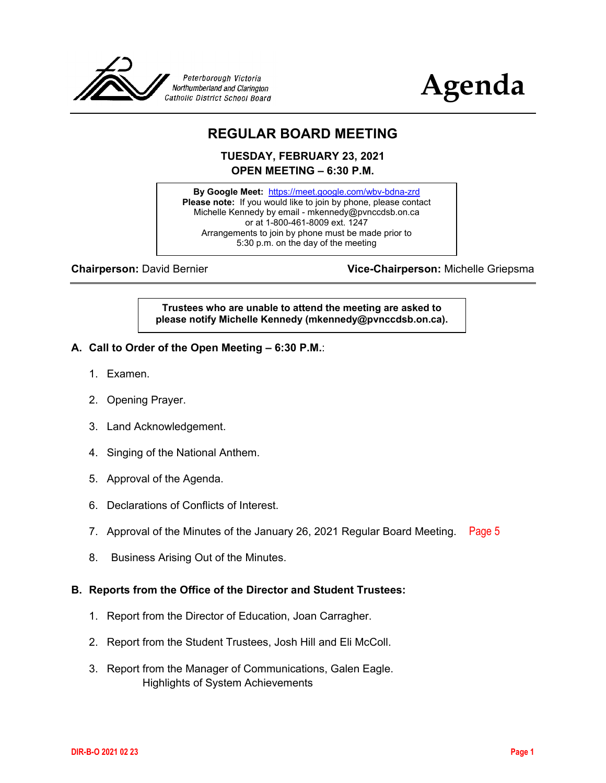



# **REGULAR BOARD MEETING**

**TUESDAY, FEBRUARY 23, 2021 OPEN MEETING – 6:30 P.M.**

**By Google Meet:** <https://meet.google.com/wbv-bdna-zrd> **Please note:** If you would like to join by phone, please contact Michelle Kennedy by email - mkennedy@pvnccdsb.on.ca or at 1-800-461-8009 ext. 1247 Arrangements to join by phone must be made prior to 5:30 p.m. on the day of the meeting

**Chairperson:** David Bernier **Vice-Chairperson:** Michelle Griepsma

**Trustees who are unable to attend the meeting are asked to please notify Michelle Kennedy (mkennedy@pvnccdsb.on.ca).**

- **A. Call to Order of the Open Meeting – 6:30 P.M.**:
	- 1. Examen.
	- 2. Opening Prayer.
	- 3. Land Acknowledgement.
	- 4. Singing of the National Anthem.
	- 5. Approval of the Agenda.
	- 6. Declarations of Conflicts of Interest.
	- 7. Approval of the Minutes of the January 26, 2021 Regular Board Meeting. [Page 5](#page-4-0)
	- 8. Business Arising Out of the Minutes.

#### **B. Reports from the Office of the Director and Student Trustees:**

- 1. Report from the Director of Education, Joan Carragher.
- 2. Report from the Student Trustees, Josh Hill and Eli McColl.
- 3. Report from the Manager of Communications, Galen Eagle. Highlights of System Achievements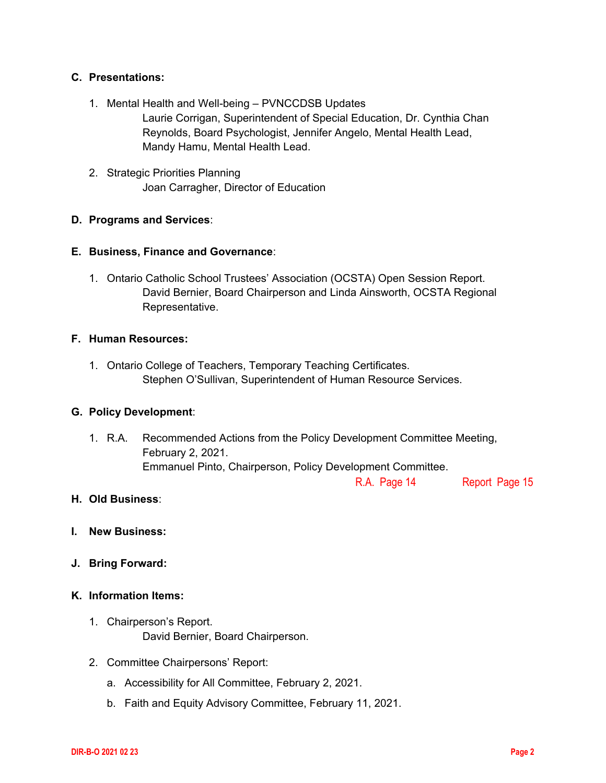## **C. Presentations:**

- 1. Mental Health and Well-being PVNCCDSB Updates Laurie Corrigan, Superintendent of Special Education, Dr. Cynthia Chan Reynolds, Board Psychologist, Jennifer Angelo, Mental Health Lead, Mandy Hamu, Mental Health Lead.
- 2. Strategic Priorities Planning Joan Carragher, Director of Education

#### **D. Programs and Services**:

#### **E. Business, Finance and Governance**:

1. Ontario Catholic School Trustees' Association (OCSTA) Open Session Report. David Bernier, Board Chairperson and Linda Ainsworth, OCSTA Regional Representative.

#### **F. Human Resources:**

1. Ontario College of Teachers, Temporary Teaching Certificates. Stephen O'Sullivan, Superintendent of Human Resource Services.

#### **G. Policy Development**:

1. R.A. Recommended Actions from the Policy Development Committee Meeting, February 2, 2021. Emmanuel Pinto, Chairperson, Policy Development Committee.

[R.A. Page 14](#page-13-0) Rep[ort Page 15](#page-14-0)

#### **H. Old Business**:

- **I. New Business:**
- **J. Bring Forward:**

#### **K. Information Items:**

- 1. Chairperson's Report. David Bernier, Board Chairperson.
- 2. Committee Chairpersons' Report:
	- a. Accessibility for All Committee, February 2, 2021.
	- b. Faith and Equity Advisory Committee, February 11, 2021.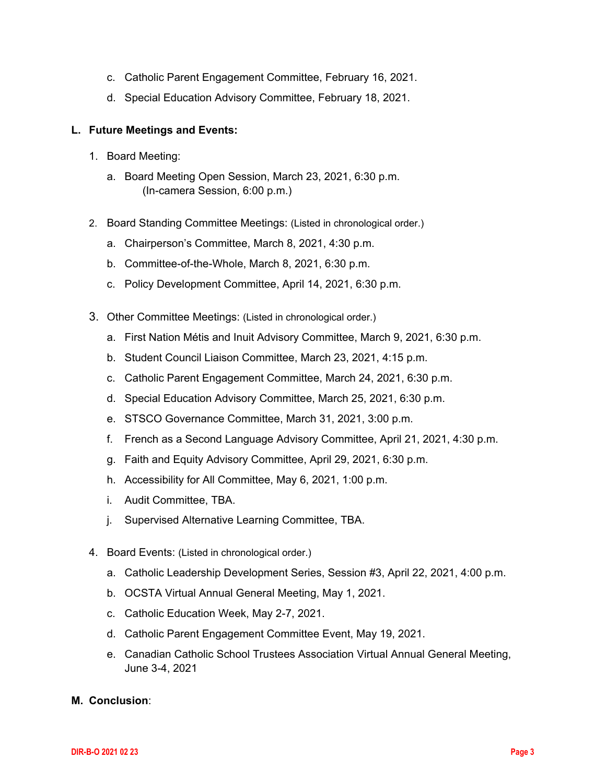- c. Catholic Parent Engagement Committee, February 16, 2021.
- d. Special Education Advisory Committee, February 18, 2021.

#### **L. Future Meetings and Events:**

- 1. Board Meeting:
	- a. Board Meeting Open Session, March 23, 2021, 6:30 p.m. (In-camera Session, 6:00 p.m.)
- 2. Board Standing Committee Meetings: (Listed in chronological order.)
	- a. Chairperson's Committee, March 8, 2021, 4:30 p.m.
	- b. Committee-of-the-Whole, March 8, 2021, 6:30 p.m.
	- c. Policy Development Committee, April 14, 2021, 6:30 p.m.
- 3. Other Committee Meetings: (Listed in chronological order.)
	- a. First Nation Métis and Inuit Advisory Committee, March 9, 2021, 6:30 p.m.
	- b. Student Council Liaison Committee, March 23, 2021, 4:15 p.m.
	- c. Catholic Parent Engagement Committee, March 24, 2021, 6:30 p.m.
	- d. Special Education Advisory Committee, March 25, 2021, 6:30 p.m.
	- e. STSCO Governance Committee, March 31, 2021, 3:00 p.m.
	- f. French as a Second Language Advisory Committee, April 21, 2021, 4:30 p.m.
	- g. Faith and Equity Advisory Committee, April 29, 2021, 6:30 p.m.
	- h. Accessibility for All Committee, May 6, 2021, 1:00 p.m.
	- i. Audit Committee, TBA.
	- j. Supervised Alternative Learning Committee, TBA.
- 4. Board Events: (Listed in chronological order.)
	- a. Catholic Leadership Development Series, Session #3, April 22, 2021, 4:00 p.m.
	- b. OCSTA Virtual Annual General Meeting, May 1, 2021.
	- c. Catholic Education Week, May 2-7, 2021.
	- d. Catholic Parent Engagement Committee Event, May 19, 2021.
	- e. Canadian Catholic School Trustees Association Virtual Annual General Meeting, June 3-4, 2021

#### **M. Conclusion**: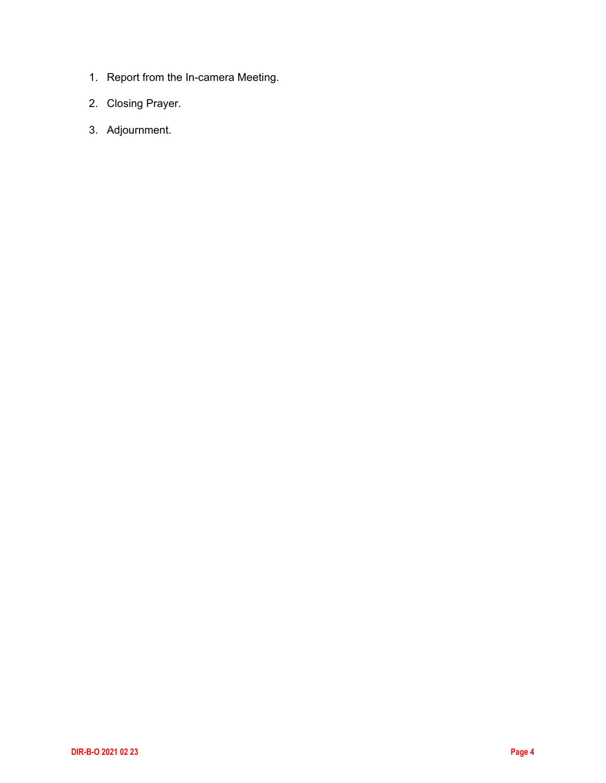- 1. Report from the In-camera Meeting.
- 2. Closing Prayer.
- 3. Adjournment.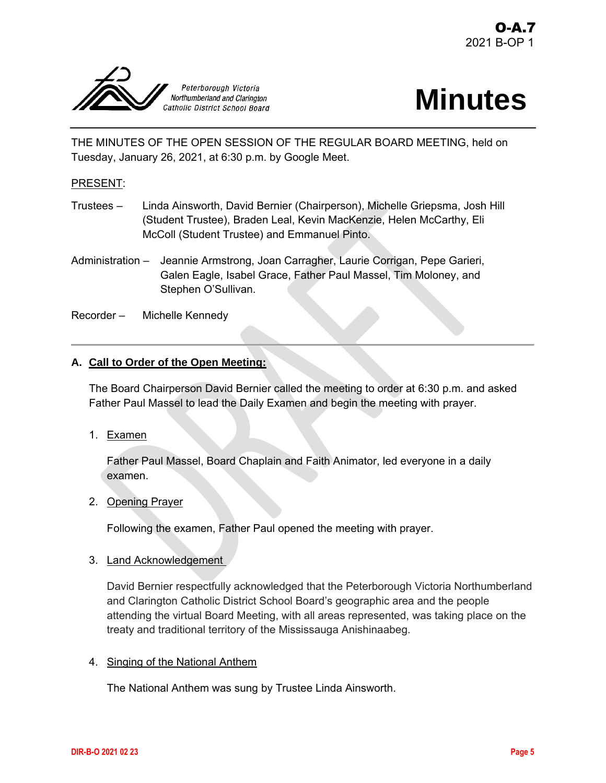<span id="page-4-0"></span>

# **Minutes**

THE MINUTES OF THE OPEN SESSION OF THE REGULAR BOARD MEETING, held on Tuesday, January 26, 2021, at 6:30 p.m. by Google Meet.

# PRESENT:

- Trustees Linda Ainsworth, David Bernier (Chairperson), Michelle Griepsma, Josh Hill (Student Trustee), Braden Leal, Kevin MacKenzie, Helen McCarthy, Eli McColl (Student Trustee) and Emmanuel Pinto.
- Administration Jeannie Armstrong, Joan Carragher, Laurie Corrigan, Pepe Garieri, Galen Eagle, Isabel Grace, Father Paul Massel, Tim Moloney, and Stephen O'Sullivan.
- Recorder Michelle Kennedy

# **A. Call to Order of the Open Meeting:**

The Board Chairperson David Bernier called the meeting to order at 6:30 p.m. and asked Father Paul Massel to lead the Daily Examen and begin the meeting with prayer.

1. Examen

Father Paul Massel, Board Chaplain and Faith Animator, led everyone in a daily examen.

2. Opening Prayer

Following the examen, Father Paul opened the meeting with prayer.

# 3. Land Acknowledgement

David Bernier respectfully acknowledged that the Peterborough Victoria Northumberland and Clarington Catholic District School Board's geographic area and the people attending the virtual Board Meeting, with all areas represented, was taking place on the treaty and traditional territory of the Mississauga Anishinaabeg.

# 4. Singing of the National Anthem

The National Anthem was sung by Trustee Linda Ainsworth.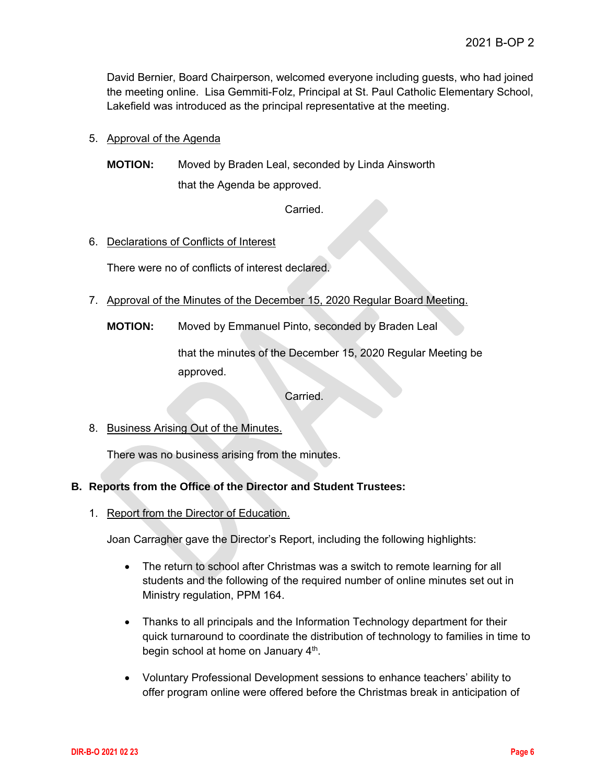David Bernier, Board Chairperson, welcomed everyone including guests, who had joined the meeting online. Lisa Gemmiti-Folz, Principal at St. Paul Catholic Elementary School, Lakefield was introduced as the principal representative at the meeting.

# 5. Approval of the Agenda

**MOTION:** Moved by Braden Leal, seconded by Linda Ainsworth that the Agenda be approved.

Carried.

# 6. Declarations of Conflicts of Interest

There were no of conflicts of interest declared.

- 7. Approval of the Minutes of the December 15, 2020 Regular Board Meeting.
	- **MOTION:** Moved by Emmanuel Pinto, seconded by Braden Leal

that the minutes of the December 15, 2020 Regular Meeting be approved.

Carried.

8. Business Arising Out of the Minutes.

There was no business arising from the minutes.

# **B. Reports from the Office of the Director and Student Trustees:**

1. Report from the Director of Education.

Joan Carragher gave the Director's Report, including the following highlights:

- The return to school after Christmas was a switch to remote learning for all students and the following of the required number of online minutes set out in Ministry regulation, PPM 164.
- Thanks to all principals and the Information Technology department for their quick turnaround to coordinate the distribution of technology to families in time to begin school at home on January 4<sup>th</sup>.
- Voluntary Professional Development sessions to enhance teachers' ability to offer program online were offered before the Christmas break in anticipation of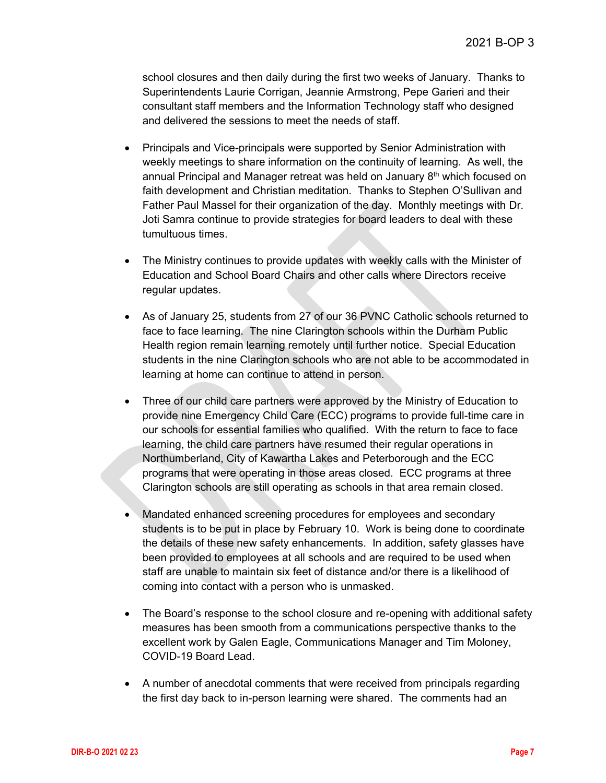school closures and then daily during the first two weeks of January. Thanks to Superintendents Laurie Corrigan, Jeannie Armstrong, Pepe Garieri and their consultant staff members and the Information Technology staff who designed and delivered the sessions to meet the needs of staff.

- Principals and Vice-principals were supported by Senior Administration with weekly meetings to share information on the continuity of learning. As well, the annual Principal and Manager retreat was held on January  $8<sup>th</sup>$  which focused on faith development and Christian meditation. Thanks to Stephen O'Sullivan and Father Paul Massel for their organization of the day. Monthly meetings with Dr. Joti Samra continue to provide strategies for board leaders to deal with these tumultuous times.
- The Ministry continues to provide updates with weekly calls with the Minister of Education and School Board Chairs and other calls where Directors receive regular updates.
- As of January 25, students from 27 of our 36 PVNC Catholic schools returned to face to face learning. The nine Clarington schools within the Durham Public Health region remain learning remotely until further notice. Special Education students in the nine Clarington schools who are not able to be accommodated in learning at home can continue to attend in person.
- Three of our child care partners were approved by the Ministry of Education to provide nine Emergency Child Care (ECC) programs to provide full-time care in our schools for essential families who qualified. With the return to face to face learning, the child care partners have resumed their regular operations in Northumberland, City of Kawartha Lakes and Peterborough and the ECC programs that were operating in those areas closed. ECC programs at three Clarington schools are still operating as schools in that area remain closed.
- Mandated enhanced screening procedures for employees and secondary students is to be put in place by February 10. Work is being done to coordinate the details of these new safety enhancements. In addition, safety glasses have been provided to employees at all schools and are required to be used when staff are unable to maintain six feet of distance and/or there is a likelihood of coming into contact with a person who is unmasked.
- The Board's response to the school closure and re-opening with additional safety measures has been smooth from a communications perspective thanks to the excellent work by Galen Eagle, Communications Manager and Tim Moloney, COVID-19 Board Lead.
- A number of anecdotal comments that were received from principals regarding the first day back to in-person learning were shared. The comments had an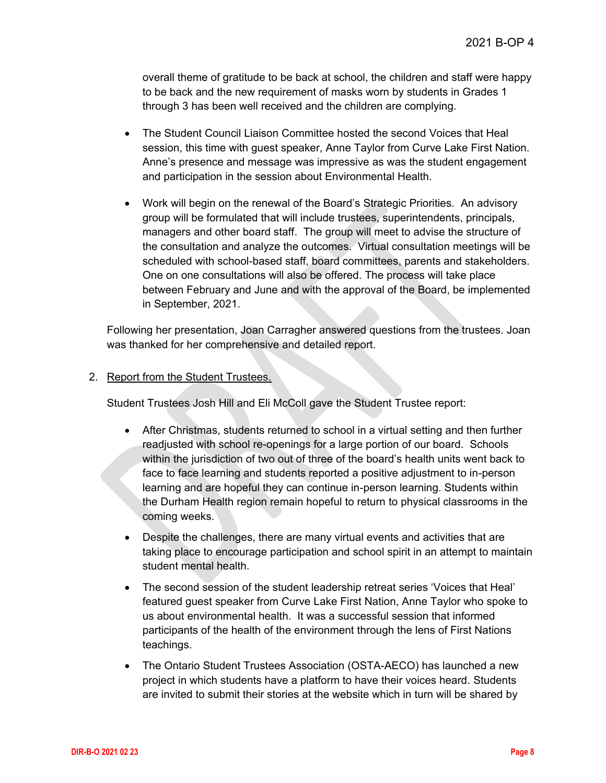overall theme of gratitude to be back at school, the children and staff were happy to be back and the new requirement of masks worn by students in Grades 1 through 3 has been well received and the children are complying.

- The Student Council Liaison Committee hosted the second Voices that Heal session, this time with guest speaker, Anne Taylor from Curve Lake First Nation. Anne's presence and message was impressive as was the student engagement and participation in the session about Environmental Health.
- Work will begin on the renewal of the Board's Strategic Priorities. An advisory group will be formulated that will include trustees, superintendents, principals, managers and other board staff. The group will meet to advise the structure of the consultation and analyze the outcomes. Virtual consultation meetings will be scheduled with school-based staff, board committees, parents and stakeholders. One on one consultations will also be offered. The process will take place between February and June and with the approval of the Board, be implemented in September, 2021.

Following her presentation, Joan Carragher answered questions from the trustees. Joan was thanked for her comprehensive and detailed report.

# 2. Report from the Student Trustees.

Student Trustees Josh Hill and Eli McColl gave the Student Trustee report:

- After Christmas, students returned to school in a virtual setting and then further readjusted with school re-openings for a large portion of our board. Schools within the jurisdiction of two out of three of the board's health units went back to face to face learning and students reported a positive adjustment to in-person learning and are hopeful they can continue in-person learning. Students within the Durham Health region remain hopeful to return to physical classrooms in the coming weeks.
- Despite the challenges, there are many virtual events and activities that are taking place to encourage participation and school spirit in an attempt to maintain student mental health.
- The second session of the student leadership retreat series 'Voices that Heal' featured guest speaker from Curve Lake First Nation, Anne Taylor who spoke to us about environmental health. It was a successful session that informed participants of the health of the environment through the lens of First Nations teachings.
- The Ontario Student Trustees Association (OSTA-AECO) has launched a new project in which students have a platform to have their voices heard. Students are invited to submit their stories at the website which in turn will be shared by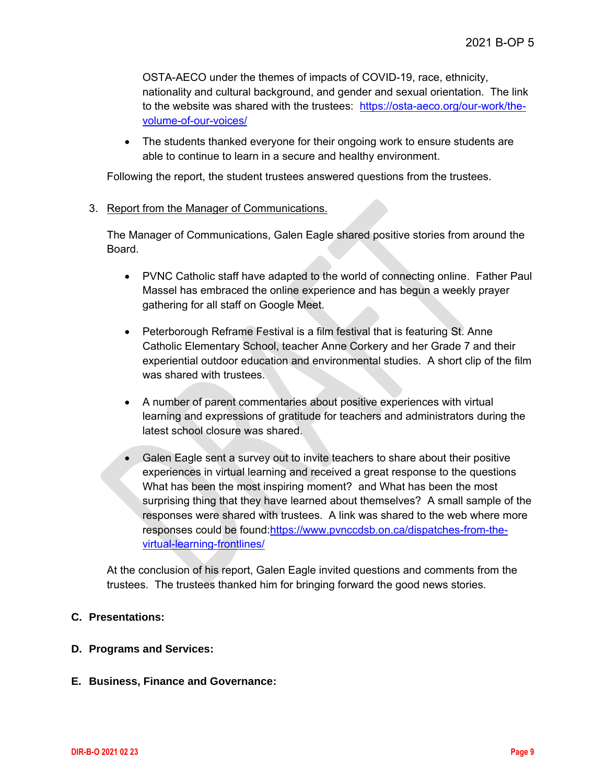OSTA-AECO under the themes of impacts of COVID-19, race, ethnicity, nationality and cultural background, and gender and sexual orientation. The link to the website was shared with the trustees: [https://osta-aeco.org/our-work/the](https://osta-aeco.org/our-work/the-volume-of-our-voices/)[volume-of-our-voices/](https://osta-aeco.org/our-work/the-volume-of-our-voices/)

• The students thanked everyone for their ongoing work to ensure students are able to continue to learn in a secure and healthy environment.

Following the report, the student trustees answered questions from the trustees.

# 3. Report from the Manager of Communications.

The Manager of Communications, Galen Eagle shared positive stories from around the Board.

- PVNC Catholic staff have adapted to the world of connecting online. Father Paul Massel has embraced the online experience and has begun a weekly prayer gathering for all staff on Google Meet.
- Peterborough Reframe Festival is a film festival that is featuring St. Anne Catholic Elementary School, teacher Anne Corkery and her Grade 7 and their experiential outdoor education and environmental studies. A short clip of the film was shared with trustees.
- A number of parent commentaries about positive experiences with virtual learning and expressions of gratitude for teachers and administrators during the latest school closure was shared.
- Galen Eagle sent a survey out to invite teachers to share about their positive experiences in virtual learning and received a great response to the questions What has been the most inspiring moment? and What has been the most surprising thing that they have learned about themselves? A small sample of the responses were shared with trustees. A link was shared to the web where more responses could be found[:https://www.pvnccdsb.on.ca/dispatches-from-the](https://www.pvnccdsb.on.ca/dispatches-from-the-virtual-learning-frontlines/)[virtual-learning-frontlines/](https://www.pvnccdsb.on.ca/dispatches-from-the-virtual-learning-frontlines/)

At the conclusion of his report, Galen Eagle invited questions and comments from the trustees. The trustees thanked him for bringing forward the good news stories.

# **C. Presentations:**

# **D. Programs and Services:**

# **E. Business, Finance and Governance:**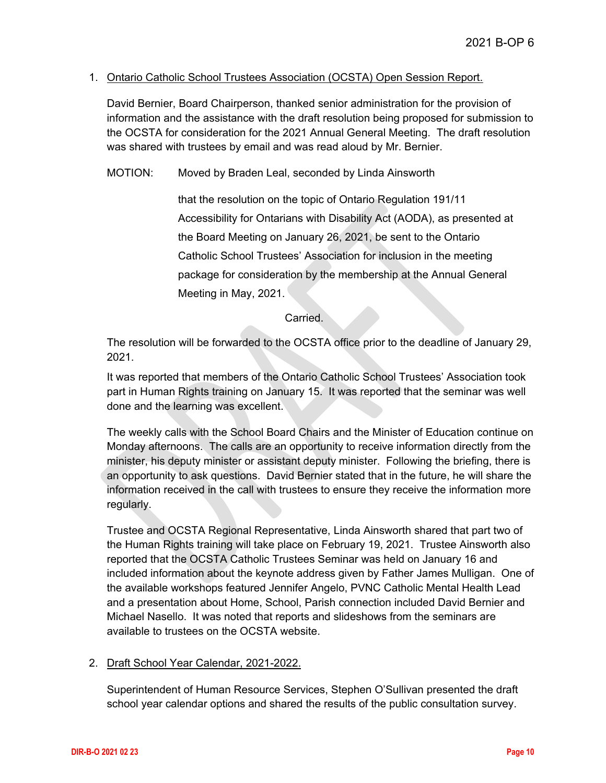#### 1. Ontario Catholic School Trustees Association (OCSTA) Open Session Report.

David Bernier, Board Chairperson, thanked senior administration for the provision of information and the assistance with the draft resolution being proposed for submission to the OCSTA for consideration for the 2021 Annual General Meeting. The draft resolution was shared with trustees by email and was read aloud by Mr. Bernier.

MOTION: Moved by Braden Leal, seconded by Linda Ainsworth

that the resolution on the topic of Ontario Regulation 191/11 Accessibility for Ontarians with Disability Act (AODA), as presented at the Board Meeting on January 26, 2021, be sent to the Ontario Catholic School Trustees' Association for inclusion in the meeting package for consideration by the membership at the Annual General Meeting in May, 2021.

#### Carried.

The resolution will be forwarded to the OCSTA office prior to the deadline of January 29, 2021.

It was reported that members of the Ontario Catholic School Trustees' Association took part in Human Rights training on January 15. It was reported that the seminar was well done and the learning was excellent.

The weekly calls with the School Board Chairs and the Minister of Education continue on Monday afternoons. The calls are an opportunity to receive information directly from the minister, his deputy minister or assistant deputy minister. Following the briefing, there is an opportunity to ask questions. David Bernier stated that in the future, he will share the information received in the call with trustees to ensure they receive the information more regularly.

Trustee and OCSTA Regional Representative, Linda Ainsworth shared that part two of the Human Rights training will take place on February 19, 2021. Trustee Ainsworth also reported that the OCSTA Catholic Trustees Seminar was held on January 16 and included information about the keynote address given by Father James Mulligan. One of the available workshops featured Jennifer Angelo, PVNC Catholic Mental Health Lead and a presentation about Home, School, Parish connection included David Bernier and Michael Nasello. It was noted that reports and slideshows from the seminars are available to trustees on the OCSTA website.

# 2. Draft School Year Calendar, 2021-2022.

Superintendent of Human Resource Services, Stephen O'Sullivan presented the draft school year calendar options and shared the results of the public consultation survey.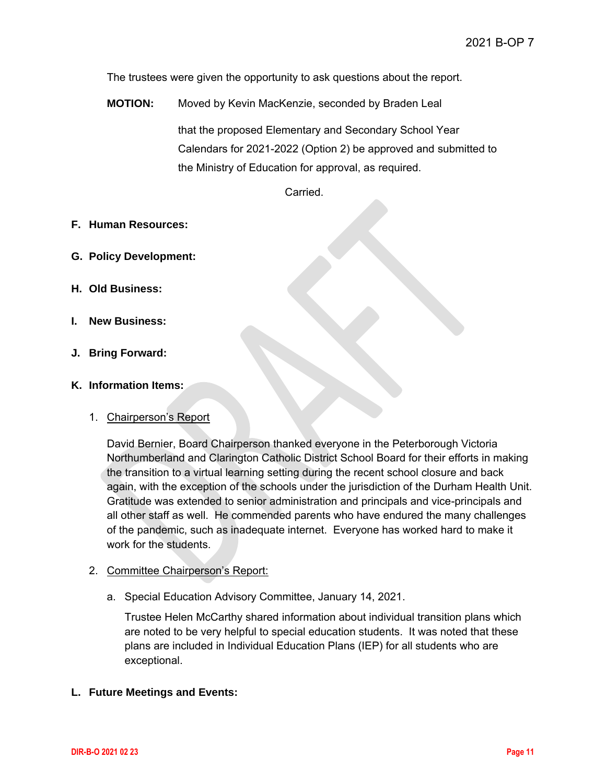The trustees were given the opportunity to ask questions about the report.

**MOTION:** Moved by Kevin MacKenzie, seconded by Braden Leal that the proposed Elementary and Secondary School Year Calendars for 2021-2022 (Option 2) be approved and submitted to the Ministry of Education for approval, as required.

**Carried** 

#### **F. Human Resources:**

- **G. Policy Development:**
- **H. Old Business:**
- **I. New Business:**
- **J. Bring Forward:**

#### **K. Information Items:**

#### 1. Chairperson's Report

David Bernier, Board Chairperson thanked everyone in the Peterborough Victoria Northumberland and Clarington Catholic District School Board for their efforts in making the transition to a virtual learning setting during the recent school closure and back again, with the exception of the schools under the jurisdiction of the Durham Health Unit. Gratitude was extended to senior administration and principals and vice-principals and all other staff as well. He commended parents who have endured the many challenges of the pandemic, such as inadequate internet. Everyone has worked hard to make it work for the students.

#### 2. Committee Chairperson's Report:

a. Special Education Advisory Committee, January 14, 2021.

Trustee Helen McCarthy shared information about individual transition plans which are noted to be very helpful to special education students. It was noted that these plans are included in Individual Education Plans (IEP) for all students who are exceptional.

# **L. Future Meetings and Events:**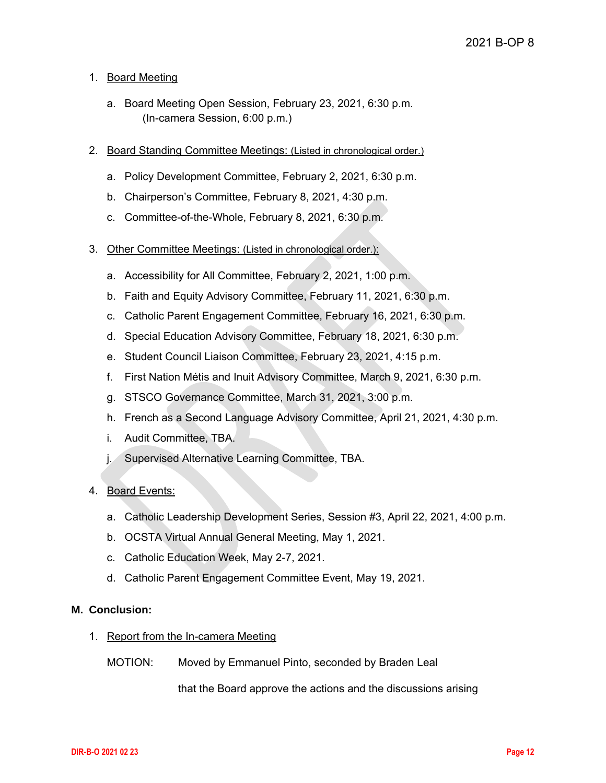# 1. Board Meeting

- a. Board Meeting Open Session, February 23, 2021, 6:30 p.m. (In-camera Session, 6:00 p.m.)
- 2. Board Standing Committee Meetings: (Listed in chronological order.)
	- a. Policy Development Committee, February 2, 2021, 6:30 p.m.
	- b. Chairperson's Committee, February 8, 2021, 4:30 p.m.
	- c. Committee-of-the-Whole, February 8, 2021, 6:30 p.m.
- 3. Other Committee Meetings: (Listed in chronological order.):
	- a. Accessibility for All Committee, February 2, 2021, 1:00 p.m.
	- b. Faith and Equity Advisory Committee, February 11, 2021, 6:30 p.m.
	- c. Catholic Parent Engagement Committee, February 16, 2021, 6:30 p.m.
	- d. Special Education Advisory Committee, February 18, 2021, 6:30 p.m.
	- e. Student Council Liaison Committee, February 23, 2021, 4:15 p.m.
	- f. First Nation Métis and Inuit Advisory Committee, March 9, 2021, 6:30 p.m.
	- g. STSCO Governance Committee, March 31, 2021, 3:00 p.m.
	- h. French as a Second Language Advisory Committee, April 21, 2021, 4:30 p.m.
	- i. Audit Committee, TBA.
	- j. Supervised Alternative Learning Committee, TBA.

#### 4. Board Events:

- a. Catholic Leadership Development Series, Session #3, April 22, 2021, 4:00 p.m.
- b. OCSTA Virtual Annual General Meeting, May 1, 2021.
- c. Catholic Education Week, May 2-7, 2021.
- d. Catholic Parent Engagement Committee Event, May 19, 2021.

### **M. Conclusion:**

- 1. Report from the In-camera Meeting
	- MOTION: Moved by Emmanuel Pinto, seconded by Braden Leal

that the Board approve the actions and the discussions arising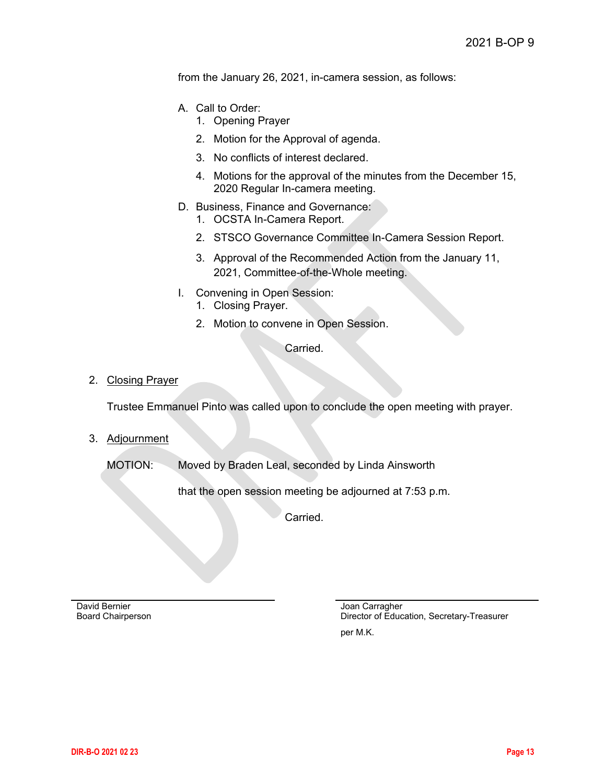from the January 26, 2021, in-camera session, as follows:

- A. Call to Order:
	- 1. Opening Prayer
	- 2. Motion for the Approval of agenda.
	- 3. No conflicts of interest declared.
	- 4. Motions for the approval of the minutes from the December 15, 2020 Regular In-camera meeting.
- D. Business, Finance and Governance:
	- 1. OCSTA In-Camera Report.
	- 2. STSCO Governance Committee In-Camera Session Report.
	- 3. Approval of the Recommended Action from the January 11, 2021, Committee-of-the-Whole meeting.
- I. Convening in Open Session: 1. Closing Prayer.
	- 2. Motion to convene in Open Session.

Carried.

#### 2. Closing Prayer

Trustee Emmanuel Pinto was called upon to conclude the open meeting with prayer.

3. Adjournment

MOTION: Moved by Braden Leal, seconded by Linda Ainsworth

that the open session meeting be adjourned at 7:53 p.m.

Carried.

David Bernier Board Chairperson Joan Carragher Director of Education, Secretary-Treasurer

per M.K.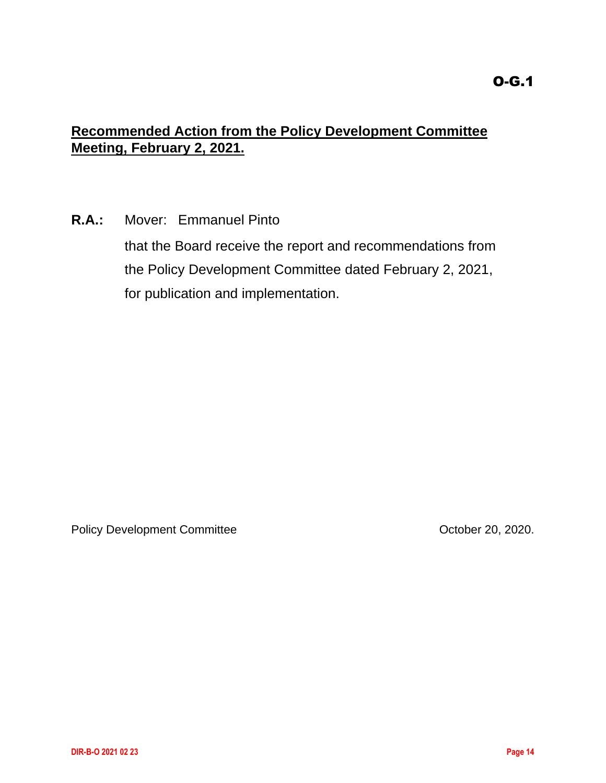# <span id="page-13-0"></span>**Recommended Action from the Policy Development Committee Meeting, February 2, 2021.**

**R.A.:** Mover: Emmanuel Pinto

that the Board receive the report and recommendations from the Policy Development Committee dated February 2, 2021, for publication and implementation.

Policy Development Committee **Development Committee Committee Communities** October 20, 2020.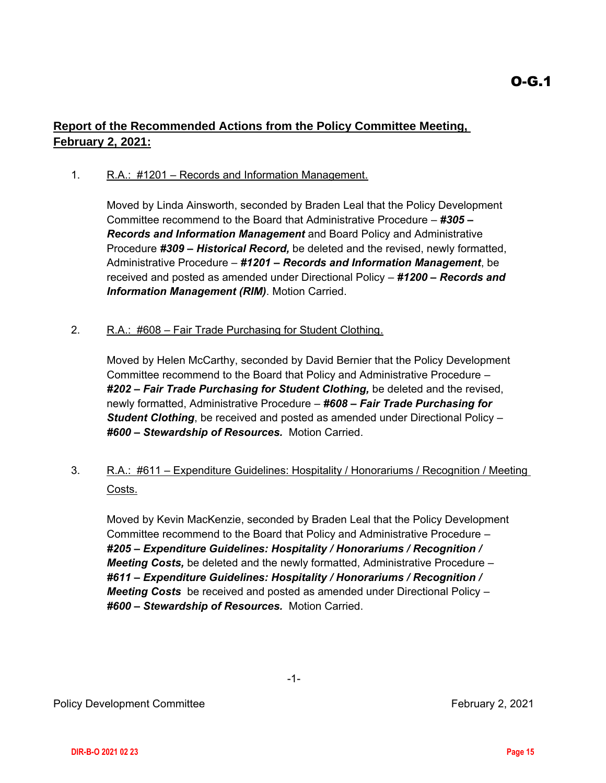# <span id="page-14-0"></span>**Report of the Recommended Actions from the Policy Committee Meeting, February 2, 2021:**

# 1. R.A.: #1201 – Records and Information Management.

Moved by Linda Ainsworth, seconded by Braden Leal that the Policy Development Committee recommend to the Board that Administrative Procedure – *#305 – Records and Information Management* and Board Policy and Administrative Procedure *#309 – Historical Record,* be deleted and the revised, newly formatted, Administrative Procedure – *#1201 – Records and Information Management*, be received and posted as amended under Directional Policy – *#1200 – Records and Information Management (RIM)*. Motion Carried.

# 2. R.A.: #608 – Fair Trade Purchasing for Student Clothing.

Moved by Helen McCarthy, seconded by David Bernier that the Policy Development Committee recommend to the Board that Policy and Administrative Procedure – *#202 – Fair Trade Purchasing for Student Clothing,* be deleted and the revised, newly formatted, Administrative Procedure – *#608 – Fair Trade Purchasing for Student Clothing*, be received and posted as amended under Directional Policy – *#600 – Stewardship of Resources.* Motion Carried.

# 3. R.A.: #611 – Expenditure Guidelines: Hospitality / Honorariums / Recognition / Meeting Costs.

Moved by Kevin MacKenzie, seconded by Braden Leal that the Policy Development Committee recommend to the Board that Policy and Administrative Procedure – *#205 – Expenditure Guidelines: Hospitality / Honorariums / Recognition / Meeting Costs,* be deleted and the newly formatted, Administrative Procedure – *#611 – Expenditure Guidelines: Hospitality / Honorariums / Recognition / Meeting Costs* be received and posted as amended under Directional Policy – *#600 – Stewardship of Resources.* Motion Carried.

-1-